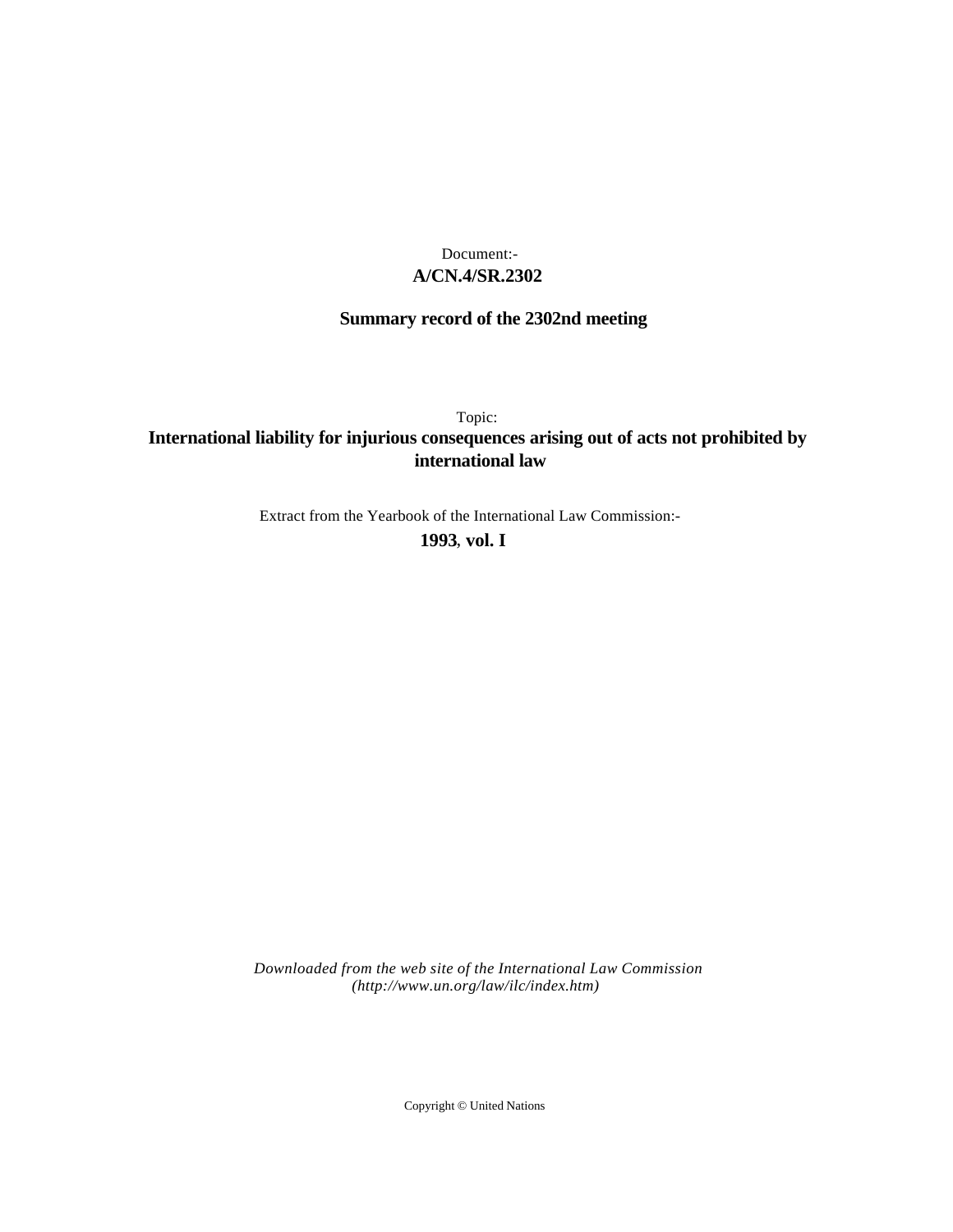# **A/CN.4/SR.2302** Document:-

# **Summary record of the 2302nd meeting**

Topic:

# **International liability for injurious consequences arising out of acts not prohibited by international law**

Extract from the Yearbook of the International Law Commission:-

**1993** , **vol. I**

*Downloaded from the web site of the International Law Commission (http://www.un.org/law/ilc/index.htm)*

Copyright © United Nations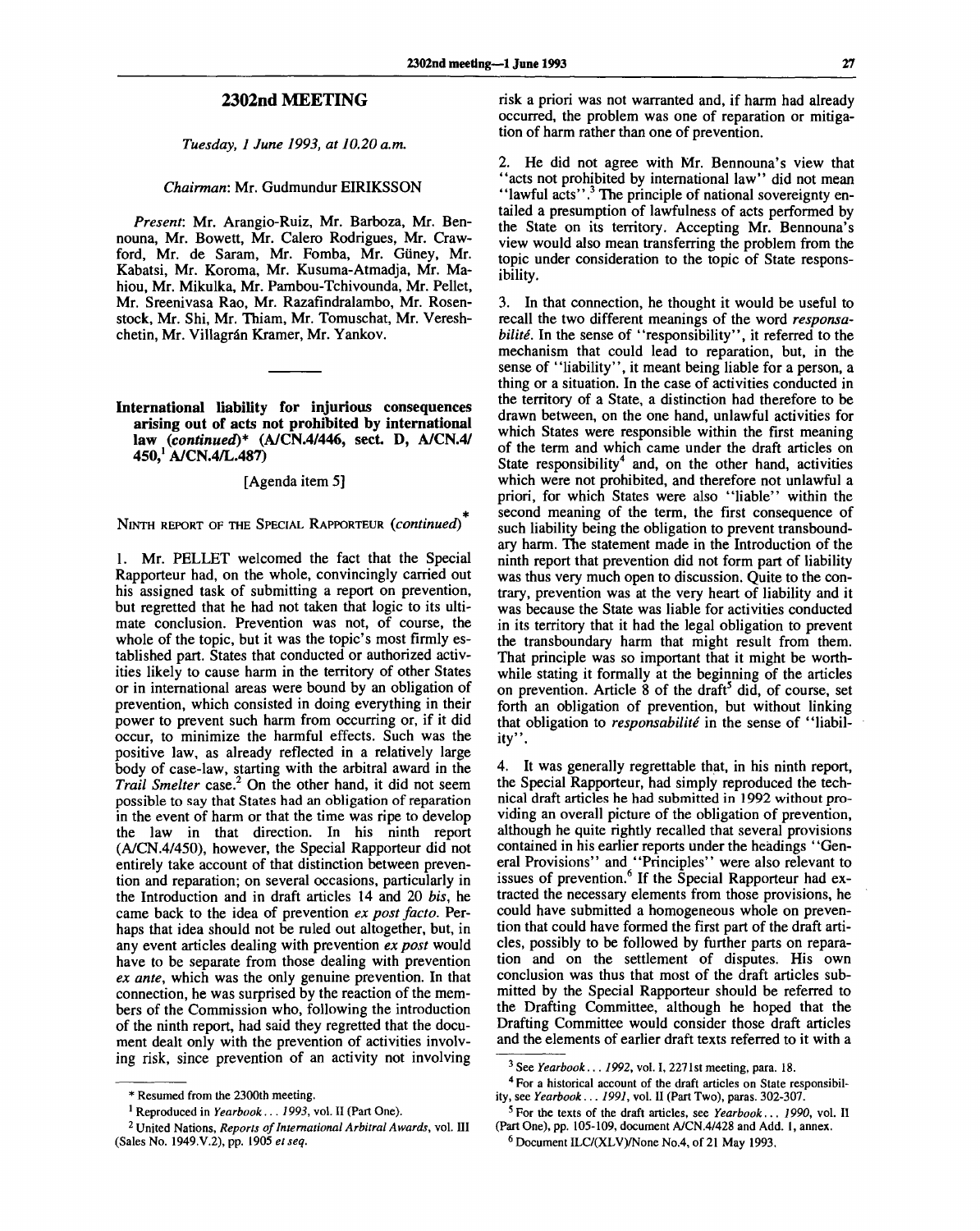## **2302nd MEETING**

*Tuesday, 1 June 1993, at 10.20 a.m.*

#### *Chairman:* Mr. Gudmundur EIRIKSSON

*Present:* Mr. Arangio-Ruiz, Mr. Barboza, Mr. Bennouna, Mr. Bowett, Mr. Calero Rodrigues, Mr. Crawford, Mr. de Saram, Mr. Fomba, Mr. Giiney, Mr. Kabatsi, Mr. Koroma, Mr. Kusuma-Atmadja, Mr. Mahiou, Mr. Mikulka, Mr. Pambou-Tchivounda, Mr. Pellet, Mr. Sreenivasa Rao, Mr. Razafindralambo, Mr. Rosenstock, Mr. Shi, Mr. Thiam, Mr. Tomuschat, Mr. Vereshchetin, Mr. Villagrán Kramer, Mr. Yankov.

## **International liability for injurious consequences arising out of acts not prohibited by international law** *(continued)\** **(A/CN.4/446, sect. D, A/CN.4/ 450,<sup>1</sup> A/CN.4/L.487)**

#### [Agenda item 5]

NINTH REPORT OF THE SPECIAL RAPPORTEUR *{continued)*

1. Mr. PELLET welcomed the fact that the Special Rapporteur had, on the whole, convincingly carried out his assigned task of submitting a report on prevention, but regretted that he had not taken that logic to its ultimate conclusion. Prevention was not, of course, the whole of the topic, but it was the topic's most firmly established part. States that conducted or authorized activities likely to cause harm in the territory of other States or in international areas were bound by an obligation of prevention, which consisted in doing everything in their power to prevent such harm from occurring or, if it did occur, to minimize the harmful effects. Such was the positive law, as already reflected in a relatively large body of case-law, starting with the arbitral award in the *Trail Smelter* case.<sup>2</sup> On the other hand, it did not seem possible to say that States had an obligation of reparation in the event of harm or that the time was ripe to develop the law in that direction. In his ninth report (A/CN.4/450), however, the Special Rapporteur did not entirely take account of that distinction between prevention and reparation; on several occasions, particularly in the Introduction and in draft articles 14 and 20 *bis,* he came back to the idea of prevention *ex post facto.* Perhaps that idea should not be ruled out altogether, but, in any event articles dealing with prevention *ex post* would have to be separate from those dealing with prevention *ex ante,* which was the only genuine prevention. In that connection, he was surprised by the reaction of the members of the Commission who, following the introduction of the ninth report, had said they regretted that the document dealt only with the prevention of activities involving risk, since prevention of an activity not involving

risk a priori was not warranted and, if harm had already occurred, the problem was one of reparation or mitigation of harm rather than one of prevention.

2. He did not agree with Mr. Bennouna's view that "acts not prohibited by international law" did not mean "lawful acts".<sup>3</sup> The principle of national sovereignty entailed a presumption of lawfulness of acts performed by the State on its territory. Accepting Mr. Bennouna's view would also mean transferring the problem from the topic under consideration to the topic of State responsibility.

3. In that connection, he thought it would be useful to recall the two different meanings of the word *responsabilite.* In the sense of "responsibility", it referred to the mechanism that could lead to reparation, but, in the sense of "liability", it meant being liable for a person, a thing or a situation. In the case of activities conducted in the territory of a State, a distinction had therefore to be drawn between, on the one hand, unlawful activities for which States were responsible within the first meaning of the term and which came under the draft articles on State responsibility<sup>4</sup> and, on the other hand, activities which were not prohibited, and therefore not unlawful a priori, for which States were also "liable" within the second meaning of the term, the first consequence of such liability being the obligation to prevent transboundary harm. The statement made in the Introduction of the ninth report that prevention did not form part of liability was thus very much open to discussion. Quite to the contrary, prevention was at the very heart of liability and it was because the State was liable for activities conducted in its territory that it had the legal obligation to prevent the transboundary harm that might result from them. That principle was so important that it might be worthwhile stating it formally at the beginning of the articles while stating it formally at the beginning of the articles<br>on prevention. Article 8 of the draft<sup>5</sup> did, of course, set forth an obligation of prevention, but without linking that obligation to *responsabilite* in the sense of "liability".

4. It was generally regrettable that, in his ninth report, the Special Rapporteur, had simply reproduced the technical draft articles he had submitted in 1992 without providing an overall picture of the obligation of prevention, although he quite rightly recalled that several provisions contained in his earlier reports under the headings ' 'General Provisions" and "Principles" were also relevant to issues of prevention.<sup>6</sup> If the Special Rapporteur had extracted the necessary elements from those provisions, he could have submitted a homogeneous whole on prevention that could have formed the first part of the draft articles, possibly to be followed by further parts on reparation and on the settlement of disputes. His own conclusion was thus that most of the draft articles submitted by the Special Rapporteur should be referred to the Drafting Committee, although he hoped that the Drafting Committee would consider those draft articles and the elements of earlier draft texts referred to it with a

<sup>\*</sup> Resumed from the 2300th meeting.

<sup>1</sup> Reproduced in *Yearbook... 1993,* vol. II (Part One).

<sup>2</sup> United Nations, *Reports of International Arbitral Awards,* vol. Ill (Sales No. 1949.V.2), pp. 1905 *et seq.*

<sup>3</sup> See *Yearbook... 1992,* vol. I, 2271st meeting, para. 18.

<sup>4</sup> For a historical account of the draft articles on State responsibility, see *Yearbook... 1991,* vol. II (Part Two), paras. 302-307.

<sup>5</sup> For the texts of the draft articles, see *Yearbook... 1990,* vol. II (Part One), pp. 105-109, document A/CN.4/428 and Add. 1, annex.

<sup>6</sup> Document ILC/(XLV)/None No.4, of 21 May 1993.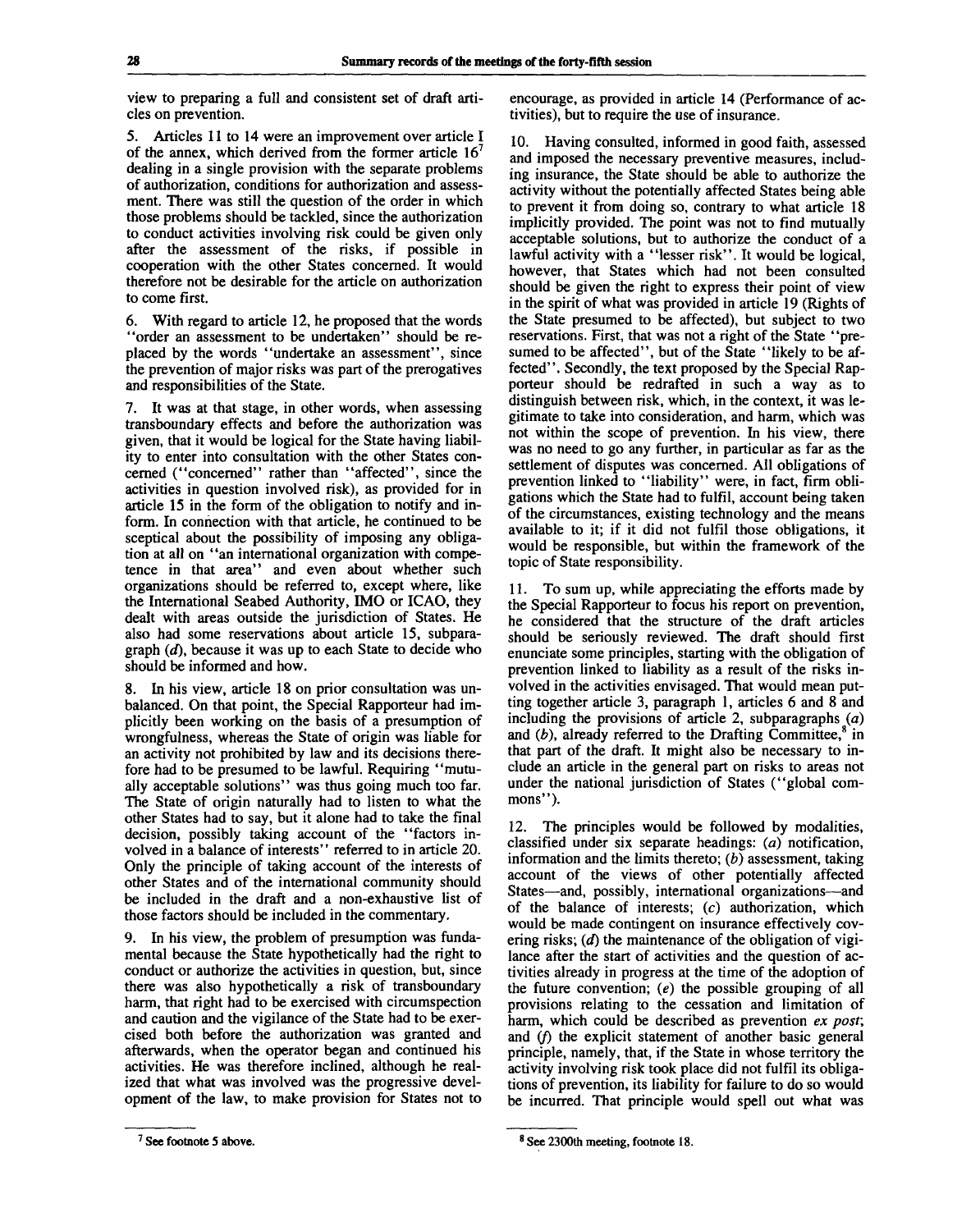view to preparing a full and consistent set of draft articles on prevention.

5. Articles 11 to 14 were an improvement over article I of the annex, which derived from the former article  $16<sup>7</sup>$ dealing in a single provision with the separate problems of authorization, conditions for authorization and assessment. There was still the question of the order in which those problems should be tackled, since the authorization to conduct activities involving risk could be given only after the assessment of the risks, if possible in cooperation with the other States concerned. It would therefore not be desirable for the article on authorization to come first.

6. With regard to article 12, he proposed that the words "order an assessment to be undertaken" should be replaced by the words "undertake an assessment", since the prevention of major risks was part of the prerogatives and responsibilities of the State.

7. It was at that stage, in other words, when assessing transboundary effects and before the authorization was given, that it would be logical for the State having liability to enter into consultation with the other States concerned ("concerned" rather than "affected", since the activities in question involved risk), as provided for in article 15 in the form of the obligation to notify and inform. In connection with that article, he continued to be sceptical about the possibility of imposing any obligation at all on "an international organization with competence in that area" and even about whether such organizations should be referred to, except where, like the International Seabed Authority, IMO or ICAO, they dealt with areas outside the jurisdiction of States. He also had some reservations about article 15, subparagraph *(d),* because it was up to each State to decide who should be informed and how.

8. In his view, article 18 on prior consultation was unbalanced. On that point, the Special Rapporteur had implicitly been working on the basis of a presumption of wrongfulness, whereas the State of origin was liable for an activity not prohibited by law and its decisions therefore had to be presumed to be lawful. Requiring "mutually acceptable solutions" was thus going much too far. The State of origin naturally had to listen to what the other States had to say, but it alone had to take the final decision, possibly taking account of the "factors involved in a balance of interests" referred to in article 20. Only the principle of taking account of the interests of other States and of the international community should be included in the draft and a non-exhaustive list of those factors should be included in the commentary.

9. In his view, the problem of presumption was fundamental because the State hypothetically had the right to conduct or authorize the activities in question, but, since there was also hypothetically a risk of transboundary harm, that right had to be exercised with circumspection and caution and the vigilance of the State had to be exercised both before the authorization was granted and afterwards, when the operator began and continued his activities. He was therefore inclined, although he realized that what was involved was the progressive development of the law, to make provision for States not to

10. Having consulted, informed in good faith, assessed and imposed the necessary preventive measures, including insurance, the State should be able to authorize the activity without the potentially affected States being able to prevent it from doing so, contrary to what article 18 implicitly provided. The point was not to find mutually acceptable solutions, but to authorize the conduct of a lawful activity with a "lesser risk". It would be logical, however, that States which had not been consulted should be given the right to express their point of view in the spirit of what was provided in article 19 (Rights of the State presumed to be affected), but subject to two reservations. First, that was not a right of the State "presumed to be affected", but of the State "likely to be affected". Secondly, the text proposed by the Special Rapporteur should be redrafted in such a way as to distinguish between risk, which, in the context, it was legitimate to take into consideration, and harm, which was not within the scope of prevention. In his view, there was no need to go any further, in particular as far as the settlement of disputes was concerned. All obligations of prevention linked to "liability" were, in fact, firm obligations which the State had to fulfil, account being taken of the circumstances, existing technology and the means available to it; if it did not fulfil those obligations, it would be responsible, but within the framework of the topic of State responsibility.

11. To sum up, while appreciating the efforts made by the Special Rapporteur to focus his report on prevention, he considered that the structure of the draft articles should be seriously reviewed. The draft should first enunciate some principles, starting with the obligation of prevention linked to liability as a result of the risks involved in the activities envisaged. That would mean putting together article 3, paragraph 1, articles 6 and 8 and including the provisions of article 2, subparagraphs *(a)* and  $(b)$ , already referred to the Drafting Committee,<sup>8</sup> in that part of the draft. It might also be necessary to include an article in the general part on risks to areas not under the national jurisdiction of States ("global commons").

12. The principles would be followed by modalities, classified under six separate headings: *(a)* notification, information and the limits thereto; *(b)* assessment, taking account of the views of other potentially affected States—and, possibly, international organizations—and of the balance of interests; (c) authorization, which would be made contingent on insurance effectively covering risks; *(d)* the maintenance of the obligation of vigilance after the start of activities and the question of activities already in progress at the time of the adoption of the future convention; *(e)* the possible grouping of all provisions relating to the cessation and limitation of harm, which could be described as prevention *ex post;* and *if)* the explicit statement of another basic general principle, namely, that, if the State in whose territory the activity involving risk took place did not fulfil its obligations of prevention, its liability for failure to do so would be incurred. That principle would spell out what was

encourage, as provided in article 14 (Performance of activities), but to require the use of insurance.

<sup>&</sup>lt;sup>7</sup> See footnote 5 above.

<sup>8</sup> See 2300th meeting, footnote 18.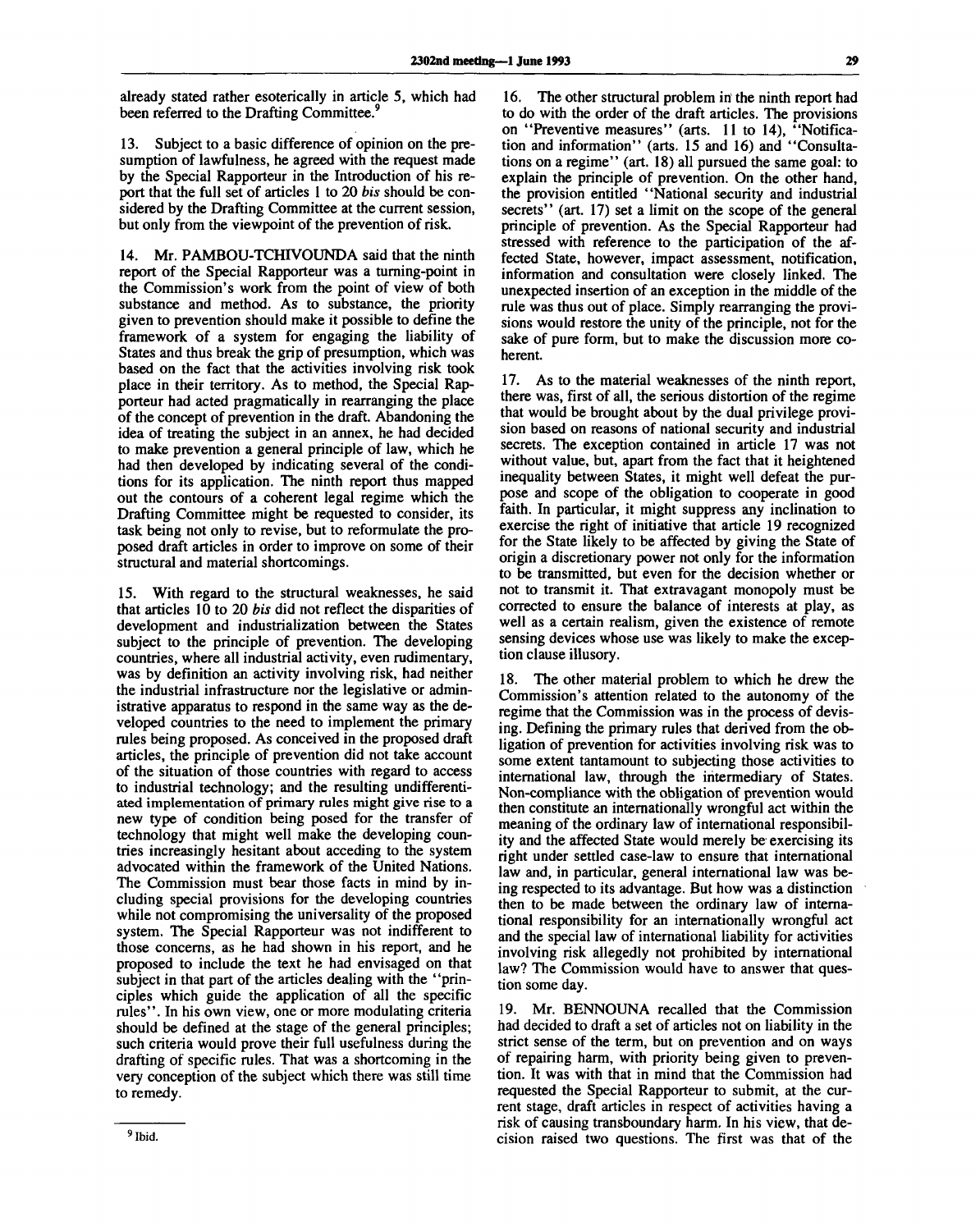already stated rather esoterically in article 5, which had been referred to the Drafting Committee.<sup>9</sup>

13. Subject to a basic difference of opinion on the presumption of lawfulness, he agreed with the request made by the Special Rapporteur in the Introduction of his report that the full set of articles 1 to 20 *bis* should be considered by the Drafting Committee at the current session, but only from the viewpoint of the prevention of risk.

14. Mr. PAMBOU-TCHIVOUNDA said that the ninth report of the Special Rapporteur was a turning-point in the Commission's work from the point of view of both substance and method. As to substance, the priority given to prevention should make it possible to define the framework of a system for engaging the liability of States and thus break the grip of presumption, which was based on the fact that the activities involving risk took place in their territory. As to method, the Special Rapporteur had acted pragmatically in rearranging the place of the concept of prevention in the draft. Abandoning the idea of treating the subject in an annex, he had decided to make prevention a general principle of law, which he had then developed by indicating several of the conditions for its application. The ninth report thus mapped out the contours of a coherent legal regime which the Drafting Committee might be requested to consider, its task being not only to revise, but to reformulate the proposed draft articles in order to improve on some of their structural and material shortcomings.

15. With regard to the structural weaknesses, he said that articles 10 to 20 *bis* did not reflect the disparities of development and industrialization between the States subject to the principle of prevention. The developing countries, where all industrial activity, even rudimentary, was by definition an activity involving risk, had neither the industrial infrastructure nor the legislative or administrative apparatus to respond in the same way as the developed countries to the need to implement the primary rules being proposed. As conceived in the proposed draft articles, the principle of prevention did not take account of the situation of those countries with regard to access to industrial technology; and the resulting undifferentiated implementation of primary rules might give rise to a new type of condition being posed for the transfer of technology that might well make the developing countries increasingly hesitant about acceding to the system advocated within the framework of the United Nations. The Commission must bear those facts in mind by including special provisions for the developing countries while not compromising the universality of the proposed system. The Special Rapporteur was not indifferent to those concerns, as he had shown in his report, and he proposed to include the text he had envisaged on that subject in that part of the articles dealing with the "principles which guide the application of all the specific rules". In his own view, one or more modulating criteria should be defined at the stage of the general principles; such criteria would prove their full usefulness during the drafting of specific rules. That was a shortcoming in the very conception of the subject which there was still time to remedy.

16. The other structural problem in the ninth report had to do with the order of the draft articles. The provisions on "Preventive measures" (arts. 11 to 14), "Notification and information" (arts. 15 and 16) and "Consultations on a regime" (art. 18) all pursued the same goal: to explain the principle of prevention. On the other hand, the provision entitled "National security and industrial secrets" (art. 17) set a limit on the scope of the general principle of prevention. As the Special Rapporteur had stressed with reference to the participation of the affected State, however, impact assessment, notification, information and consultation were closely linked. The unexpected insertion of an exception in the middle of the rule was thus out of place. Simply rearranging the provisions would restore the unity of the principle, not for the sake of pure form, but to make the discussion more coherent.

17. As to the material weaknesses of the ninth report, there was, first of all, the serious distortion of the regime that would be brought about by the dual privilege provision based on reasons of national security and industrial secrets. The exception contained in article 17 was not without value, but, apart from the fact that it heightened inequality between States, it might well defeat the purpose and scope of the obligation to cooperate in good faith. In particular, it might suppress any inclination to exercise the right of initiative that article 19 recognized for the State likely to be affected by giving the State of origin a discretionary power not only for the information to be transmitted, but even for the decision whether or not to transmit it. That extravagant monopoly must be corrected to ensure the balance of interests at play, as well as a certain realism, given the existence of remote sensing devices whose use was likely to make the exception clause illusory.

18. The other material problem to which he drew the Commission's attention related to the autonomy of the regime that the Commission was in the process of devising. Defining the primary rules that derived from the obligation of prevention for activities involving risk was to some extent tantamount to subjecting those activities to international law, through the intermediary of States. Non-compliance with the obligation of prevention would then constitute an internationally wrongful act within the meaning of the ordinary law of international responsibility and the affected State would merely be exercising its right under settled case-law to ensure that international law and, in particular, general international law was being respected to its advantage. But how was a distinction then to be made between the ordinary law of international responsibility for an internationally wrongful act and the special law of international liability for activities involving risk allegedly not prohibited by international law? The Commission would have to answer that question some day.

19. Mr. BENNOUNA recalled that the Commission had decided to draft a set of articles not on liability in the strict sense of the term, but on prevention and on ways of repairing harm, with priority being given to prevention. It was with that in mind that the Commission had requested the Special Rapporteur to submit, at the current stage, draft articles in respect of activities having a risk of causing transboundary harm. In his view, that decision raised two questions. The first was that of the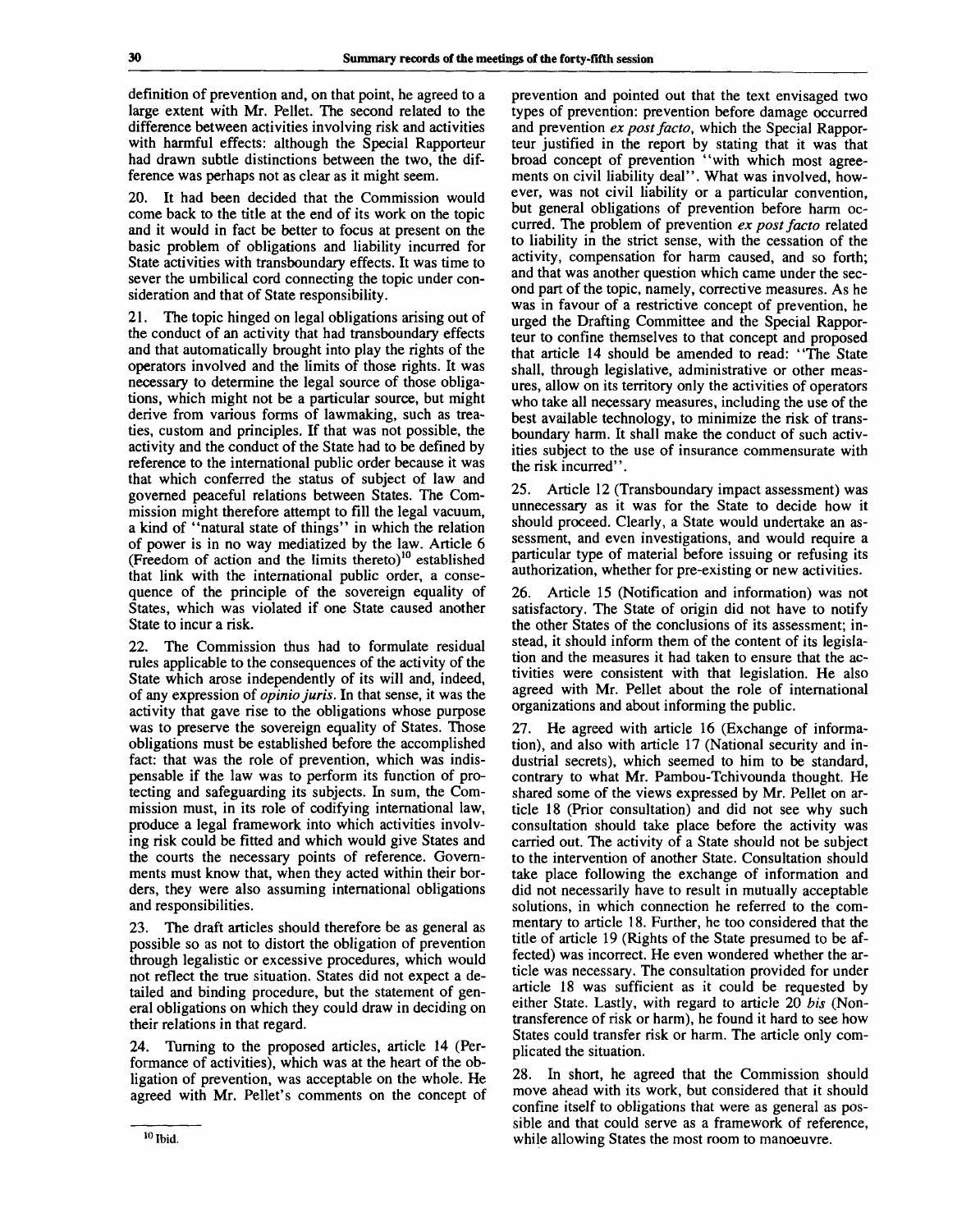definition of prevention and, on that point, he agreed to a large extent with Mr. Pellet. The second related to the difference between activities involving risk and activities with harmful effects: although the Special Rapporteur had drawn subtle distinctions between the two, the difference was perhaps not as clear as it might seem.

It had been decided that the Commission would come back to the title at the end of its work on the topic and it would in fact be better to focus at present on the basic problem of obligations and liability incurred for State activities with transboundary effects. It was time to sever the umbilical cord connecting the topic under consideration and that of State responsibility.

21. The topic hinged on legal obligations arising out of the conduct of an activity that had transboundary effects and that automatically brought into play the rights of the operators involved and the limits of those rights. It was necessary to determine the legal source of those obligations, which might not be a particular source, but might derive from various forms of lawmaking, such as treaties, custom and principles. If that was not possible, the activity and the conduct of the State had to be defined by reference to the international public order because it was that which conferred the status of subject of law and governed peaceful relations between States. The Commission might therefore attempt to fill the legal vacuum, a kind of "natural state of things" in which the relation of power is in no way mediatized by the law. Article 6 The law:  $\lambda$  and the limits thereto)<sup>10</sup> established (Freedom of action and the limits thereto)<sup>10</sup> established that link with the international public order, a consequence of the principle of the sovereign equality of States, which was violated if one State caused another State to incur a risk.

22. The Commission thus had to formulate residual rules applicable to the consequences of the activity of the State which arose independently of its will and, indeed, of any expression of *opinio juris.* In that sense, it was the activity that gave rise to the obligations whose purpose was to preserve the sovereign equality of States. Those obligations must be established before the accomplished fact: that was the role of prevention, which was indispensable if the law was to perform its function of protecting and safeguarding its subjects. In sum, the Commission must, in its role of codifying international law, produce a legal framework into which activities involving risk could be fitted and which would give States and the courts the necessary points of reference. Governments must know that, when they acted within their borders, they were also assuming international obligations and responsibilities.

23. The draft articles should therefore be as general as possible so as not to distort the obligation of prevention through legalistic or excessive procedures, which would not reflect the true situation. States did not expect a detailed and binding procedure, but the statement of general obligations on which they could draw in deciding on their relations in that regard.

24. Turning to the proposed articles, article 14 (Performance of activities), which was at the heart of the obligation of prevention, was acceptable on the whole. He agreed with Mr. Pellet's comments on the concept of prevention and pointed out that the text envisaged two types of prevention: prevention before damage occurred and prevention *ex post facto,* which the Special Rapporteur justified in the report by stating that it was that broad concept of prevention "with which most agreements on civil liability deal". What was involved, however, was not civil liability or a particular convention, but general obligations of prevention before harm occurred. The problem of prevention *ex post facto* related to liability in the strict sense, with the cessation of the activity, compensation for harm caused, and so forth; and that was another question which came under the second part of the topic, namely, corrective measures. As he was in favour of a restrictive concept of prevention, he urged the Drafting Committee and the Special Rapporteur to confine themselves to that concept and proposed that article 14 should be amended to read: "The State shall, through legislative, administrative or other measures, allow on its territory only the activities of operators who take all necessary measures, including the use of the best available technology, to minimize the risk of transboundary harm. It shall make the conduct of such activities subject to the use of insurance commensurate with the risk incurred".

25. Article 12 (Transboundary impact assessment) was unnecessary as it was for the State to decide how it should proceed. Clearly, a State would undertake an assessment, and even investigations, and would require a particular type of material before issuing or refusing its authorization, whether for pre-existing or new activities.

26. Article 15 (Notification and information) was not satisfactory. The State of origin did not have to notify the other States of the conclusions of its assessment; instead, it should inform them of the content of its legislation and the measures it had taken to ensure that the activities were consistent with that legislation. He also agreed with Mr. Pellet about the role of international organizations and about informing the public.

27. He agreed with article 16 (Exchange of information), and also with article 17 (National security and industrial secrets), which seemed to him to be standard, contrary to what Mr. Pambou-Tchivounda thought. He shared some of the views expressed by Mr. Pellet on article 18 (Prior consultation) and did not see why such consultation should take place before the activity was carried out. The activity of a State should not be subject to the intervention of another State. Consultation should take place following the exchange of information and did not necessarily have to result in mutually acceptable solutions, in which connection he referred to the commentary to article 18. Further, he too considered that the title of article 19 (Rights of the State presumed to be affected) was incorrect. He even wondered whether the article was necessary. The consultation provided for under article 18 was sufficient as it could be requested by either State. Lastly, with regard to article 20 *bis* (Nontransference of risk or harm), he found it hard to see how States could transfer risk or harm. The article only complicated the situation.

28. In short, he agreed that the Commission should move ahead with its work, but considered that it should confine itself to obligations that were as general as possible and that could serve as a framework of reference, while allowing States the most room to manoeuvre.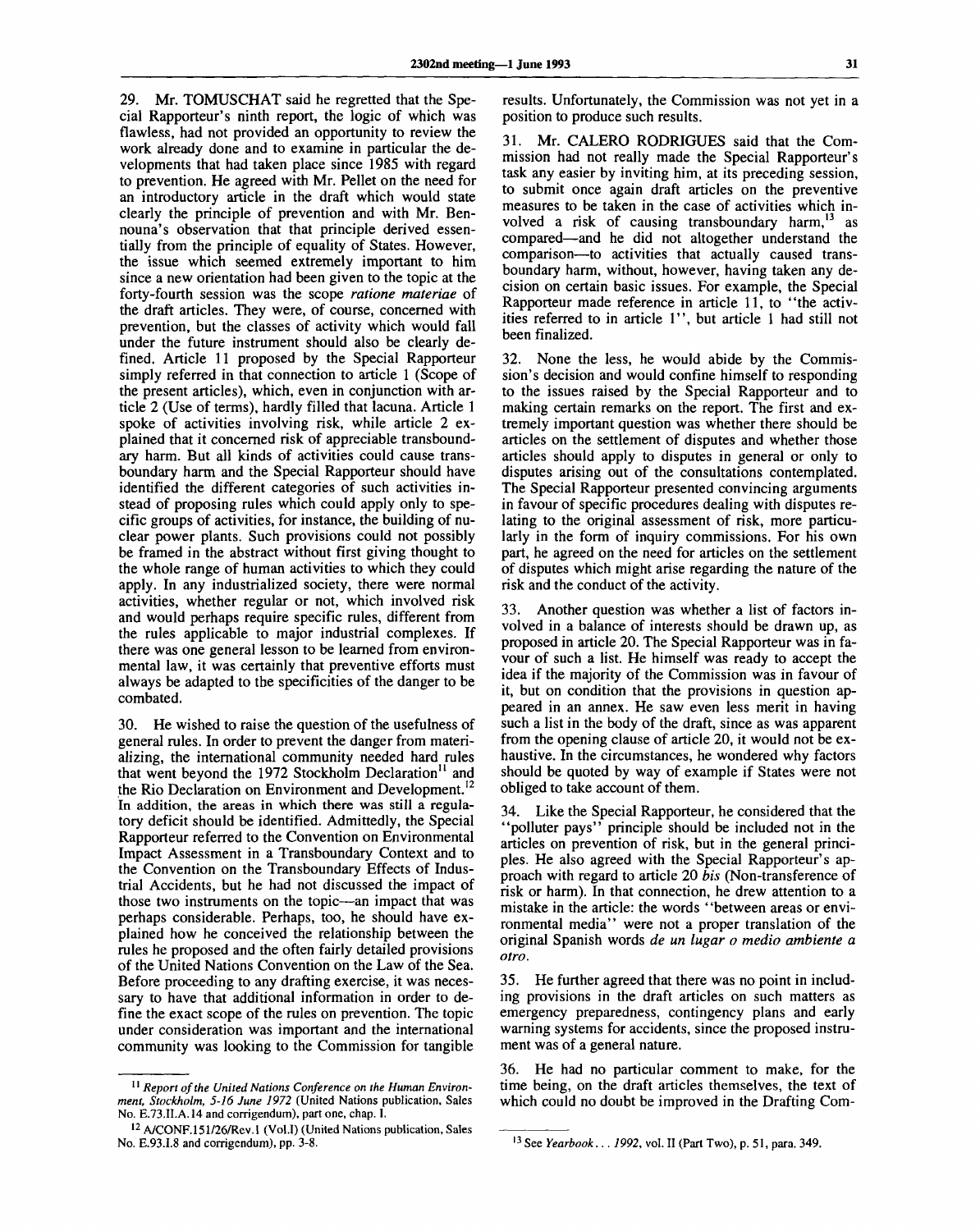29. Mr. TOMUSCHAT said he regretted that the Special Rapporteur's ninth report, the logic of which was flawless, had not provided an opportunity to review the work already done and to examine in particular the developments that had taken place since 1985 with regard to prevention. He agreed with Mr. Pellet on the need for an introductory article in the draft which would state clearly the principle of prevention and with Mr. Bennouna's observation that that principle derived essentially from the principle of equality of States. However, the issue which seemed extremely important to him since a new orientation had been given to the topic at the forty-fourth session was the scope *ratione materiae* of the draft articles. They were, of course, concerned with prevention, but the classes of activity which would fall under the future instrument should also be clearly defined. Article 11 proposed by the Special Rapporteur simply referred in that connection to article 1 (Scope of the present articles), which, even in conjunction with article 2 (Use of terms), hardly filled that lacuna. Article 1 spoke of activities involving risk, while article 2 explained that it concerned risk of appreciable transboundary harm. But all kinds of activities could cause transboundary harm and the Special Rapporteur should have identified the different categories of such activities instead of proposing rules which could apply only to specific groups of activities, for instance, the building of nuclear power plants. Such provisions could not possibly be framed in the abstract without first giving thought to the whole range of human activities to which they could apply. In any industrialized society, there were normal activities, whether regular or not, which involved risk and would perhaps require specific rules, different from the rules applicable to major industrial complexes. If there was one general lesson to be learned from environmental law, it was certainly that preventive efforts must always be adapted to the specificities of the danger to be combated.

30. He wished to raise the question of the usefulness of general rules. In order to prevent the danger from materializing, the international community needed hard rules that went beyond the 1972 Stockholm Declaration<sup>11</sup> and the Rio Declaration on Environment and Development.<sup>12</sup> In addition, the areas in which there was still a regulatory deficit should be identified. Admittedly, the Special Rapporteur referred to the Convention on Environmental Impact Assessment in a Transboundary Context and to the Convention on the Transboundary Effects of Industrial Accidents, but he had not discussed the impact of those two instruments on the topic—an impact that was perhaps considerable. Perhaps, too, he should have explained how he conceived the relationship between the rules he proposed and the often fairly detailed provisions of the United Nations Convention on the Law of the Sea. Before proceeding to any drafting exercise, it was necessary to have that additional information in order to define the exact scope of the rules on prevention. The topic under consideration was important and the international community was looking to the Commission for tangible

<sup>11</sup> Report of the United Nations Conference on the Human Environ*ment, Stockholm, 5-16 June 1972* (United Nations publication, Sales No. E.73.II.A.14 and corrigendum), part one, chap. I.

results. Unfortunately, the Commission was not yet in a position to produce such results.

31. Mr. CALERO RODRIGUES said that the Commission had not really made the Special Rapporteur's task any easier by inviting him, at its preceding session, to submit once again draft articles on the preventive measures to be taken in the case of activities which involved a risk of causing transboundary harm,  $13$  as compared—and he did not altogether understand the comparison—to activities that actually caused transboundary harm, without, however, having taken any decision on certain basic issues. For example, the Special Rapporteur made reference in article 11, to "the activities referred to in article 1", but article 1 had still not been finalized.

32. None the less, he would abide by the Commission's decision and would confine himself to responding to the issues raised by the Special Rapporteur and to making certain remarks on the report. The first and extremely important question was whether there should be articles on the settlement of disputes and whether those articles should apply to disputes in general or only to disputes arising out of the consultations contemplated. The Special Rapporteur presented convincing arguments in favour of specific procedures dealing with disputes relating to the original assessment of risk, more particularly in the form of inquiry commissions. For his own part, he agreed on the need for articles on the settlement of disputes which might arise regarding the nature of the risk and the conduct of the activity.

33. Another question was whether a list of factors involved in a balance of interests should be drawn up, as proposed in article 20. The Special Rapporteur was in favour of such a list. He himself was ready to accept the idea if the majority of the Commission was in favour of it, but on condition that the provisions in question appeared in an annex. He saw even less merit in having such a list in the body of the draft, since as was apparent from the opening clause of article 20, it would not be exhaustive. In the circumstances, he wondered why factors should be quoted by way of example if States were not obliged to take account of them.

34. Like the Special Rapporteur, he considered that the "polluter pays" principle should be included not in the articles on prevention of risk, but in the general principles. He also agreed with the Special Rapporteur's approach with regard to article 20 *bis* (Non-transference of risk or harm). In that connection, he drew attention to a mistake in the article: the words "between areas or environmental media" were not a proper translation of the original Spanish words *de un lugar o medio ambiente a otro.*

35. He further agreed that there was no point in including provisions in the draft articles on such matters as emergency preparedness, contingency plans and early warning systems for accidents, since the proposed instrument was of a general nature.

36. He had no particular comment to make, for the time being, on the draft articles themselves, the text of which could no doubt be improved in the Drafting Com-

<sup>&</sup>lt;sup>12</sup> A/CONF.151/26/Rev.1 (Vol.I) (United Nations publication, Sales No. E.93.I.8 and corrigendum), pp. 3-8.

<sup>13</sup> See *Yearbook... 1992,* vol. II (Part Two), p. 51, para. 349.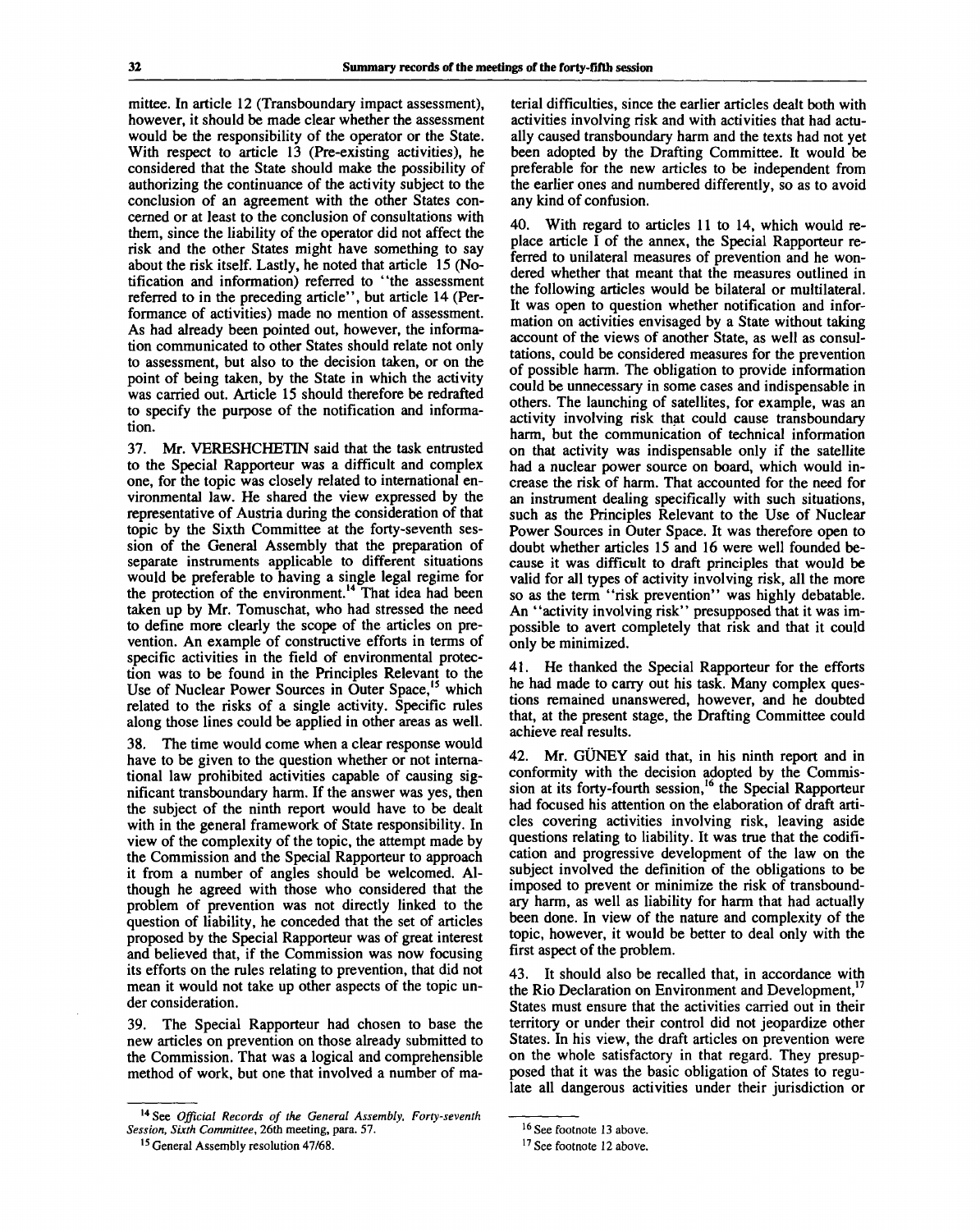mittee. In article 12 (Transboundary impact assessment), however, it should be made clear whether the assessment would be the responsibility of the operator or the State. With respect to article 13 (Pre-existing activities), he considered that the State should make the possibility of authorizing the continuance of the activity subject to the conclusion of an agreement with the other States concerned or at least to the conclusion of consultations with them, since the liability of the operator did not affect the risk and the other States might have something to say about the risk itself. Lastly, he noted that article 15 (Notification and information) referred to "the assessment referred to in the preceding article", but article 14 (Performance of activities) made no mention of assessment. As had already been pointed out, however, the information communicated to other States should relate not only to assessment, but also to the decision taken, or on the point of being taken, by the State in which the activity was carried out. Article 15 should therefore be redrafted to specify the purpose of the notification and information.

37. Mr. VERESHCHETIN said that the task entrusted to the Special Rapporteur was a difficult and complex one, for the topic was closely related to international environmental law. He shared the view expressed by the representative of Austria during the consideration of that topic by the Sixth Committee at the forty-seventh session of the General Assembly that the preparation of separate instruments applicable to different situations would be preferable to having a single legal regime for the protection of the environment.<sup>14</sup> That idea had been taken up by Mr. Tomuschat, who had stressed the need to define more clearly the scope of the articles on prevention. An example of constructive efforts in terms of specific activities in the field of environmental protection was to be found in the Principles Relevant to the Use of Nuclear Power Sources in Outer Space,<sup>15</sup> which related to the risks of a single activity. Specific rules along those lines could be applied in other areas as well.

38. The time would come when a clear response would have to be given to the question whether or not international law prohibited activities capable of causing significant transboundary harm. If the answer was yes, then the subject of the ninth report would have to be dealt with in the general framework of State responsibility. In view of the complexity of the topic, the attempt made by the Commission and the Special Rapporteur to approach it from a number of angles should be welcomed. Although he agreed with those who considered that the problem of prevention was not directly linked to the question of liability, he conceded that the set of articles proposed by the Special Rapporteur was of great interest and believed that, if the Commission was now focusing its efforts on the rules relating to prevention, that did not mean it would not take up other aspects of the topic under consideration.

39. The Special Rapporteur had chosen to base the new articles on prevention on those already submitted to the Commission. That was a logical and comprehensible method of work, but one that involved a number of material difficulties, since the earlier articles dealt both with activities involving risk and with activities that had actually caused transboundary harm and the texts had not yet been adopted by the Drafting Committee. It would be preferable for the new articles to be independent from the earlier ones and numbered differently, so as to avoid any kind of confusion.

40. With regard to articles 11 to 14, which would replace article I of the annex, the Special Rapporteur referred to unilateral measures of prevention and he wondered whether that meant that the measures outlined in the following articles would be bilateral or multilateral. It was open to question whether notification and information on activities envisaged by a State without taking account of the views of another State, as well as consultations, could be considered measures for the prevention of possible harm. The obligation to provide information could be unnecessary in some cases and indispensable in others. The launching of satellites, for example, was an activity involving risk that could cause transboundary harm, but the communication of technical information on that activity was indispensable only if the satellite had a nuclear power source on board, which would increase the risk of harm. That accounted for the need for an instrument dealing specifically with such situations, such as the Principles Relevant to the Use of Nuclear Power Sources in Outer Space. It was therefore open to doubt whether articles 15 and 16 were well founded because it was difficult to draft principles that would be valid for all types of activity involving risk, all the more so as the term "risk prevention" was highly debatable. An "activity involving risk" presupposed that it was impossible to avert completely that risk and that it could only be minimized.

41. He thanked the Special Rapporteur for the efforts he had made to carry out his task. Many complex questions remained unanswered, however, and he doubted that, at the present stage, the Drafting Committee could achieve real results.

42. Mr. GÜNEY said that, in his ninth report and in conformity with the decision adopted by the Commission at its forty-fourth session,<sup>16</sup> the Special Rapporteur had focused his attention on the elaboration of draft articles covering activities involving risk, leaving aside questions relating to liability. It was true that the codification and progressive development of the law on the subject involved the definition of the obligations to be imposed to prevent or minimize the risk of transboundary harm, as well as liability for harm that had actually been done. In view of the nature and complexity of the topic, however, it would be better to deal only with the first aspect of the problem.

43. It should also be recalled that, in accordance with the Rio Declaration on Environment and Development, $17$ States must ensure that the activities carried out in their territory or under their control did not jeopardize other States. In his view, the draft articles on prevention were on the whole satisfactory in that regard. They presupposed that it was the basic obligation of States to regulate all dangerous activities under their jurisdiction or

<sup>14</sup> See *Official Records of the General Assembly, Forty-seventh Session, Sixth Committee,* 26th meeting, para. 57.

<sup>&</sup>lt;sup>15</sup> General Assembly resolution 47/68.

<sup>&</sup>lt;sup>16</sup> See footnote 13 above.

<sup>&</sup>lt;sup>17</sup> See footnote 12 above.